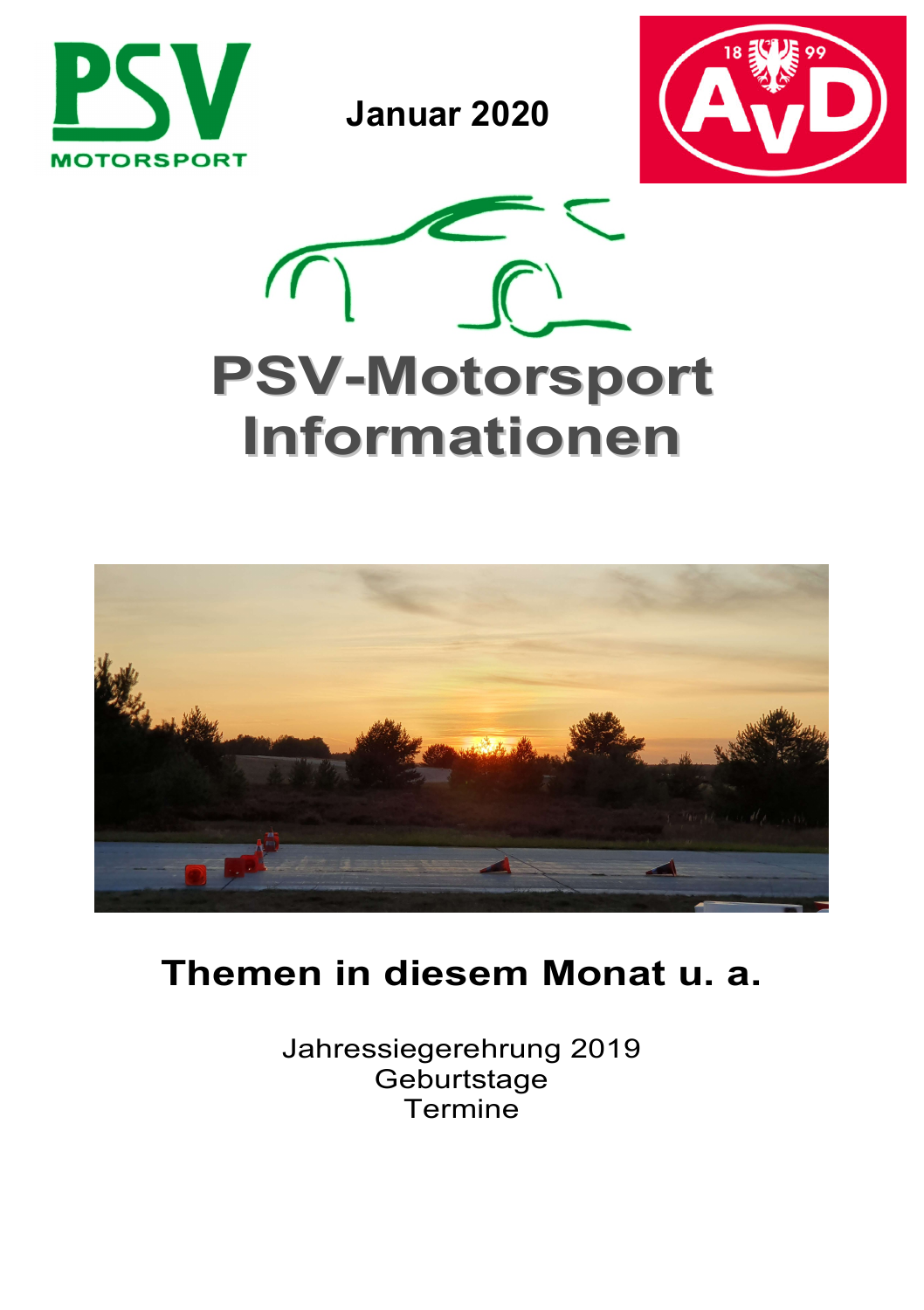

Januar 2020







# Themen in diesem Monat u. a.

Jahressiegerehrung 2019 **Geburtstage** Termine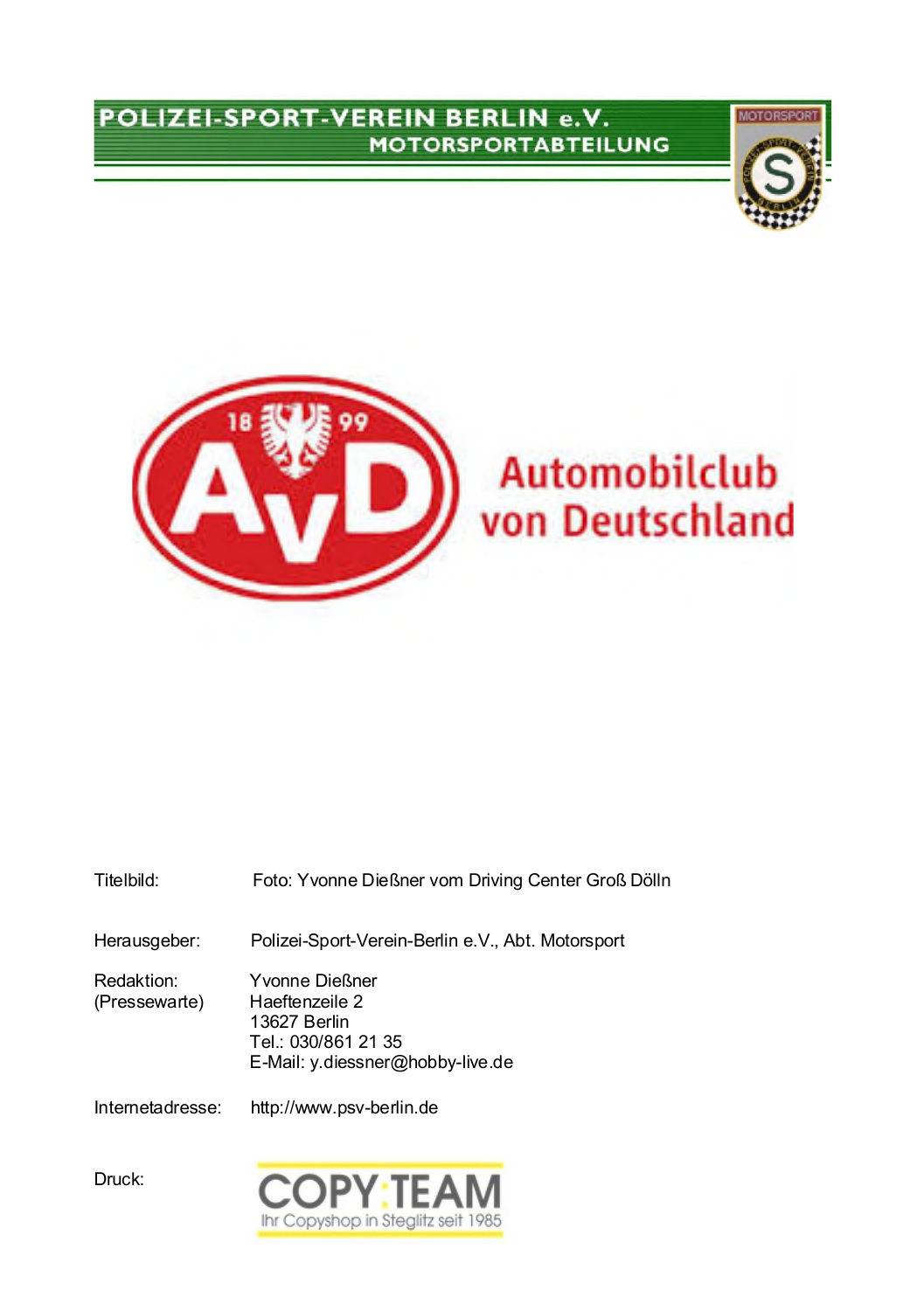#### POLIZEI-SPORT-VEREIN BERLIN e.V. **MOTORSPORTABTEILUNG**





| Titelbild:                  | Foto: Yvonne Dießner vom Driving Center Groß Dölln                                                          |
|-----------------------------|-------------------------------------------------------------------------------------------------------------|
| Herausgeber:                | Polizei-Sport-Verein-Berlin e.V., Abt. Motorsport                                                           |
| Redaktion:<br>(Pressewarte) | Yvonne Dießner<br>Haeftenzeile 2<br>13627 Berlin<br>Tel.: 030/861 21 35<br>E-Mail: y.diessner@hobby-live.de |
| Internetadresse:            | http://www.psv-berlin.de                                                                                    |

Ihr Copyshop in Steglitz seit 1985

Druck: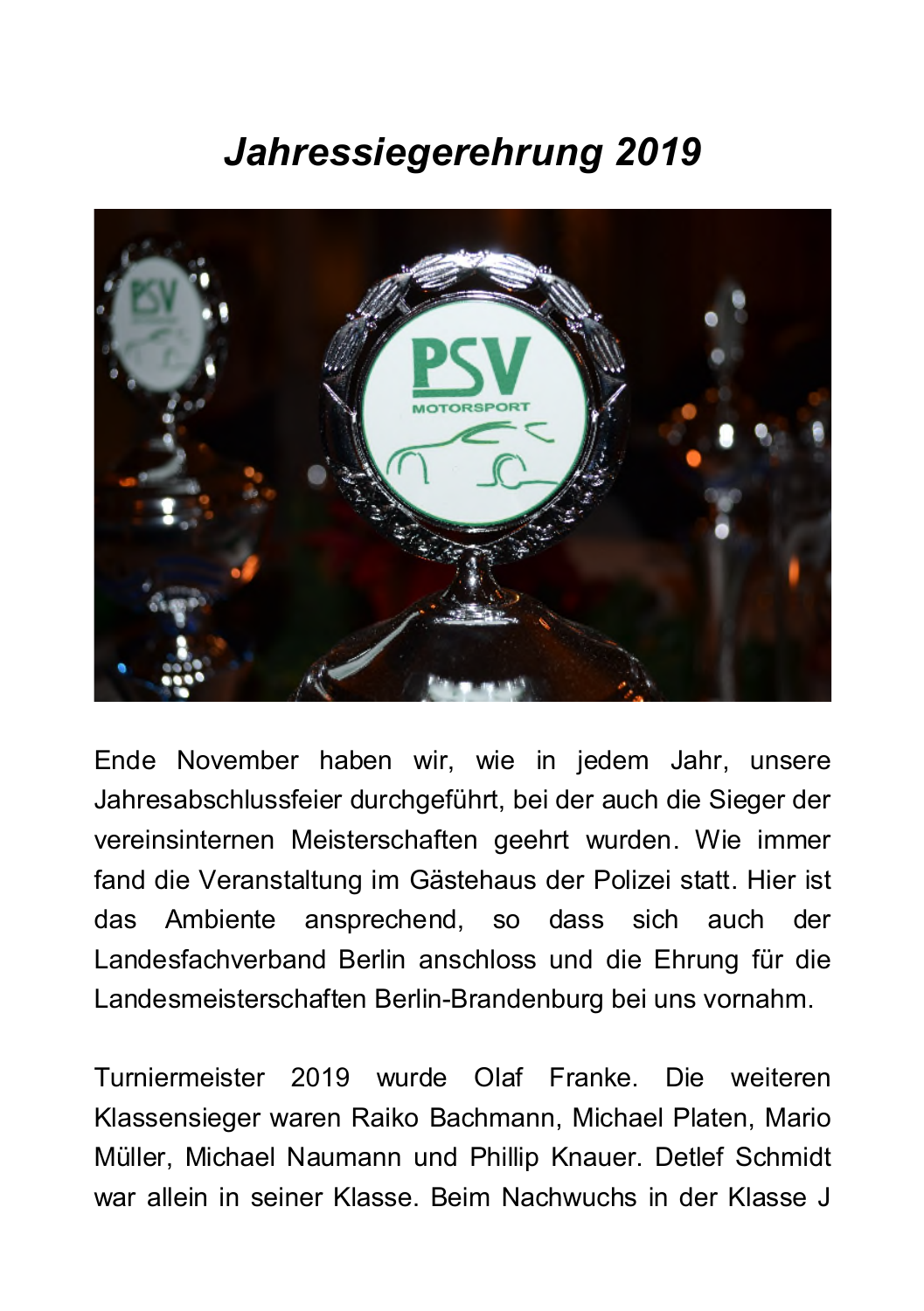# Jahressiegerehrung 2019



Ende November haben wir, wie in jedem Jahr, unsere Jahresabschlussfeier durchgeführt, bei der auch die Sieger der vereinsinternen Meisterschaften geehrt wurden. Wie immer fand die Veranstaltung im Gästehaus der Polizei statt. Hier ist Ambiente ansprechend, so dass sich auch der das Landesfachverband Berlin anschloss und die Ehrung für die Landesmeisterschaften Berlin-Brandenburg bei uns vornahm.

Turniermeister 2019 wurde Olaf Franke. Die weiteren Klassensieger waren Raiko Bachmann, Michael Platen, Mario Müller, Michael Naumann und Phillip Knauer. Detlef Schmidt war allein in seiner Klasse. Beim Nachwuchs in der Klasse J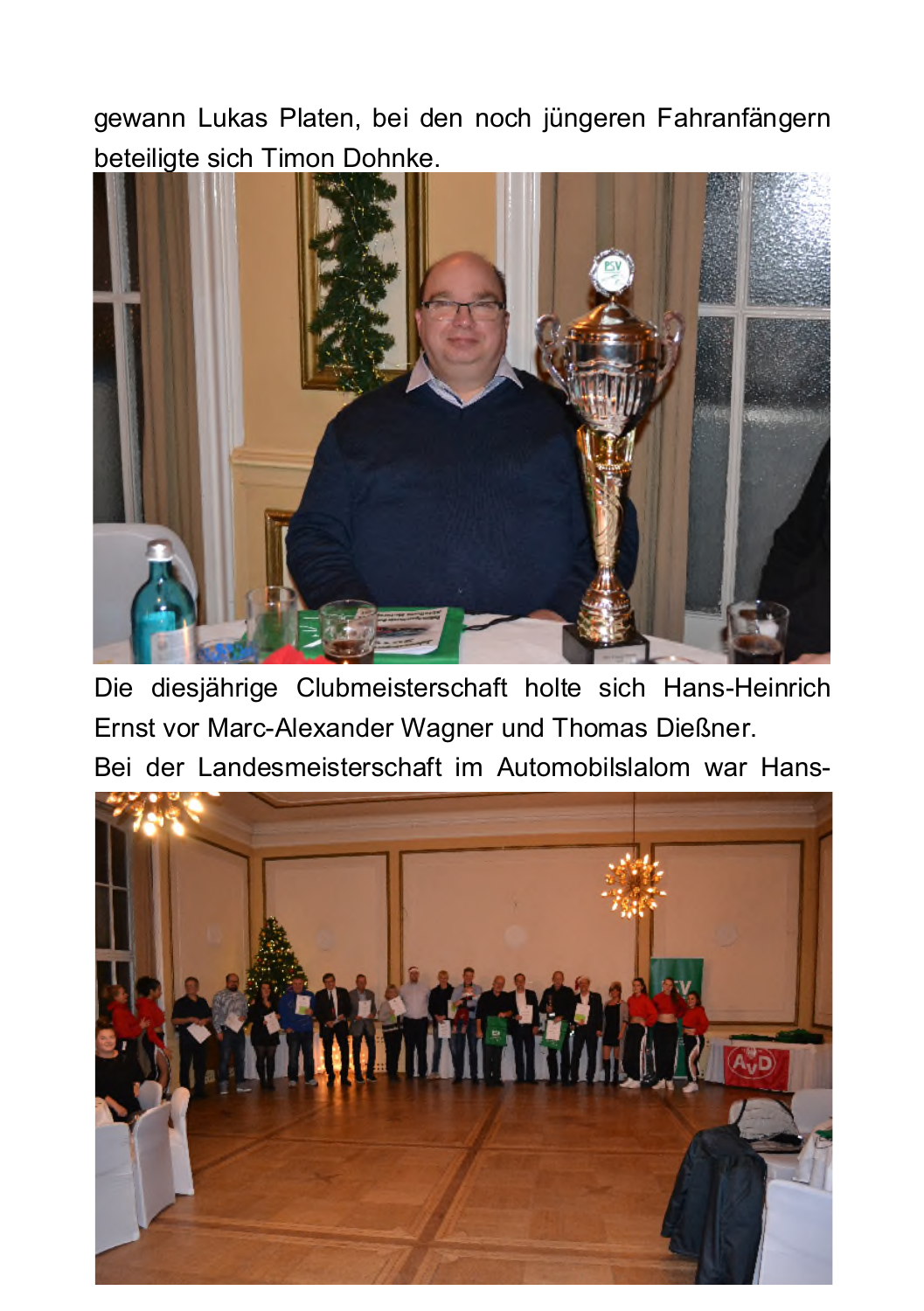gewann Lukas Platen, bei den noch jüngeren Fahranfängern beteiligte sich Timon Dohnke.



Die diesjährige Clubmeisterschaft holte sich Hans-Heinrich Ernst vor Marc-Alexander Wagner und Thomas Dießner.

Bei der Landesmeisterschaft im Automobilslalom war Hans-

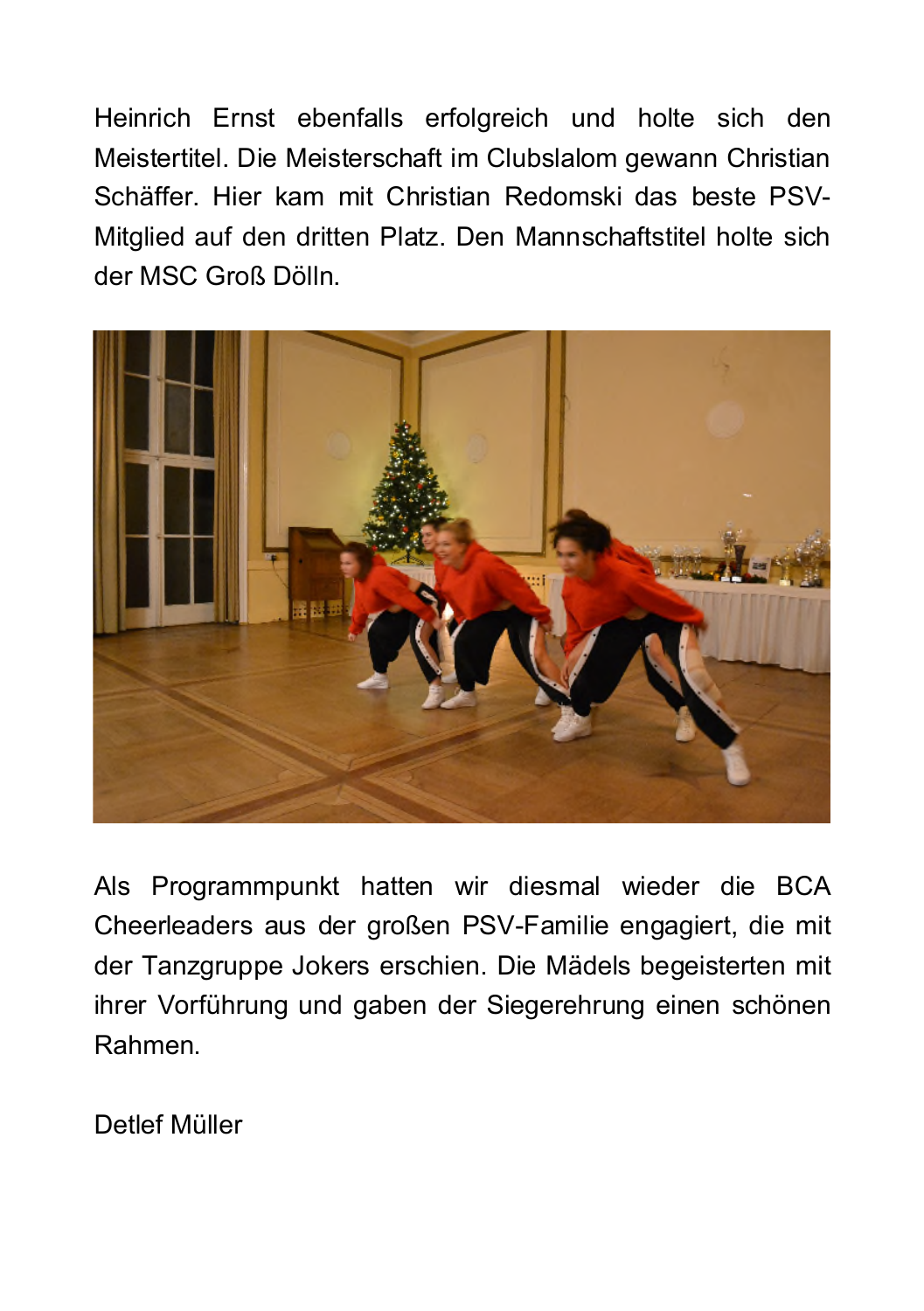Heinrich Ernst ebenfalls erfolgreich und holte sich den Meistertitel. Die Meisterschaft im Clubslalom gewann Christian Schäffer. Hier kam mit Christian Redomski das beste PSV-Mitglied auf den dritten Platz. Den Mannschaftstitel holte sich der MSC Groß Dölln



Als Programmpunkt hatten wir diesmal wieder die BCA Cheerleaders aus der großen PSV-Familie engagiert, die mit der Tanzgruppe Jokers erschien. Die Mädels begeisterten mit ihrer Vorführung und gaben der Siegerehrung einen schönen Rahmen.

Detlef Müller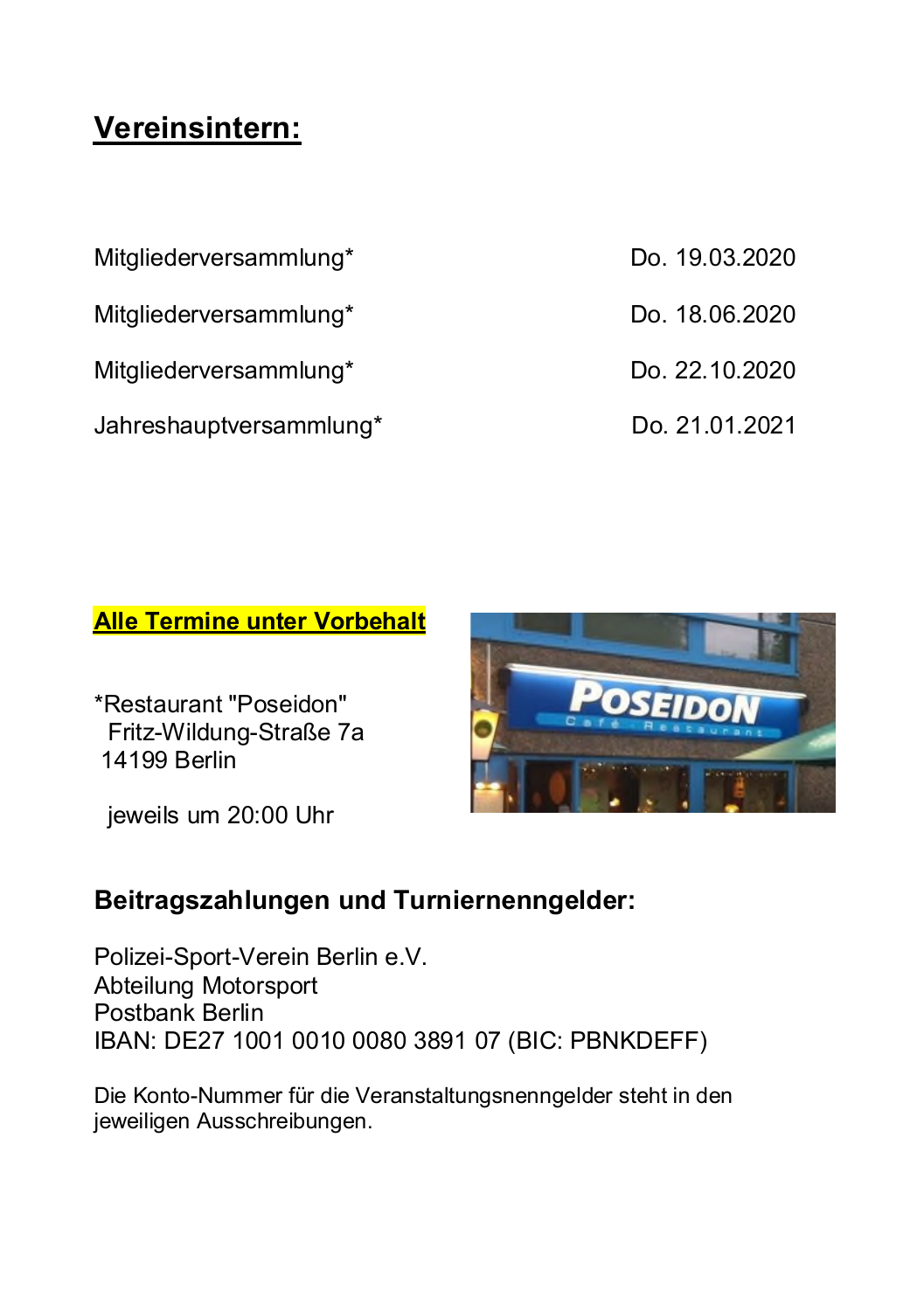### Vereinsintern:

Mitaliederversammlung\*

Mitgliederversammlung\*

Mitgliederversammlung\*

Jahreshauptversammlung\*

- Do 19 03 2020 Do 18 06 2020
- Do 22 10 2020
- Do. 21.01.2021

#### **Alle Termine unter Vorbehalt**

\*Restaurant "Poseidon" Fritz-Wildung-Straße 7a 14199 Berlin

jeweils um 20:00 Uhr



### Beitragszahlungen und Turniernenngelder:

Polizei-Sport-Verein Berlin e.V. Abteilung Motorsport Postbank Berlin IBAN: DE27 1001 0010 0080 3891 07 (BIC: PBNKDEFF)

Die Konto-Nummer für die Veranstaltungsnenngelder steht in den jeweiligen Ausschreibungen.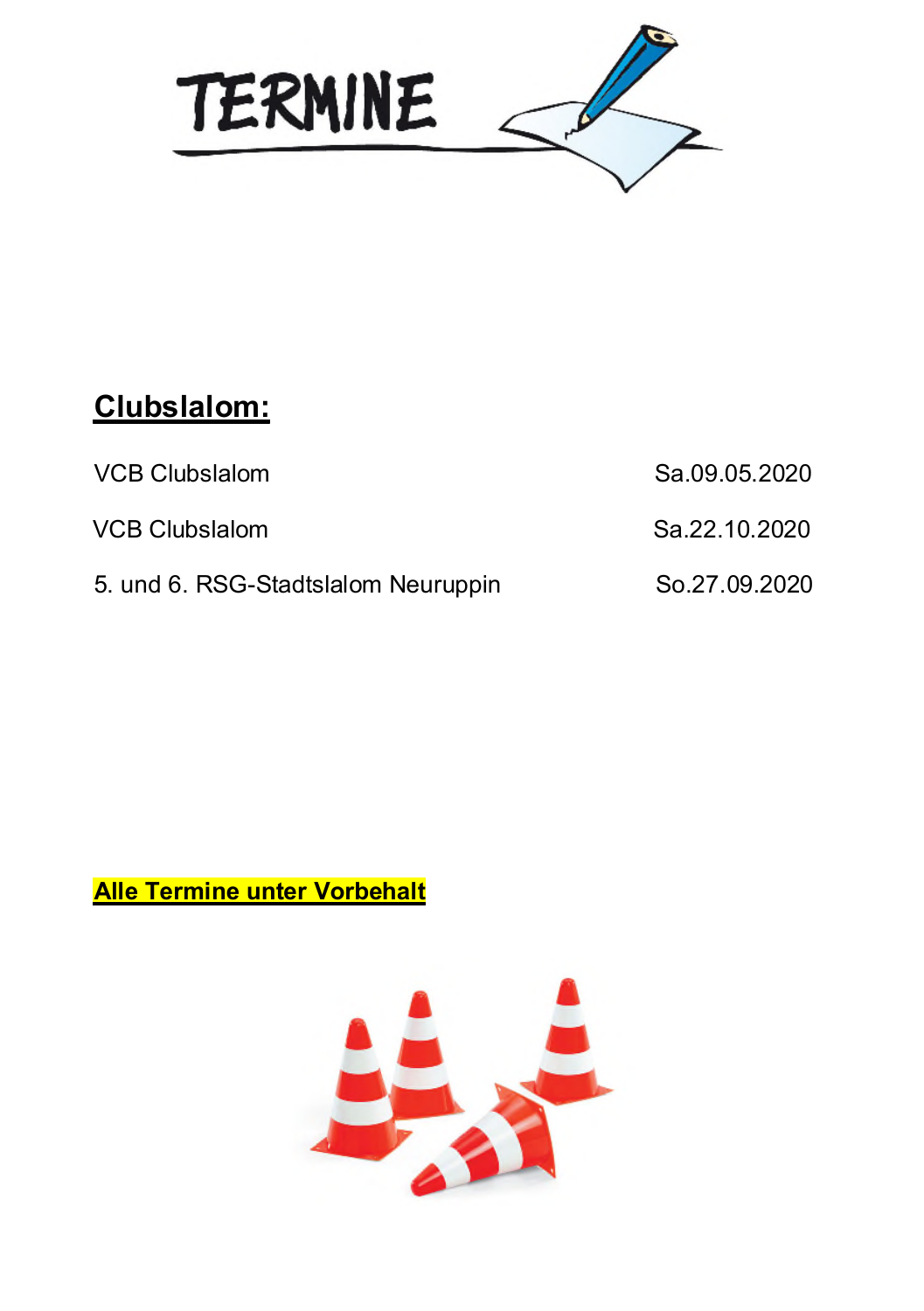

## Clubslalom:

| <b>VCB Clubslalom</b>               | Sa.09.05.2020 |
|-------------------------------------|---------------|
| <b>VCB Clubslalom</b>               | Sa.22.10.2020 |
| 5. und 6. RSG-Stadtslalom Neuruppin | So.27.09.2020 |

### **Alle Termine unter Vorbehalt**